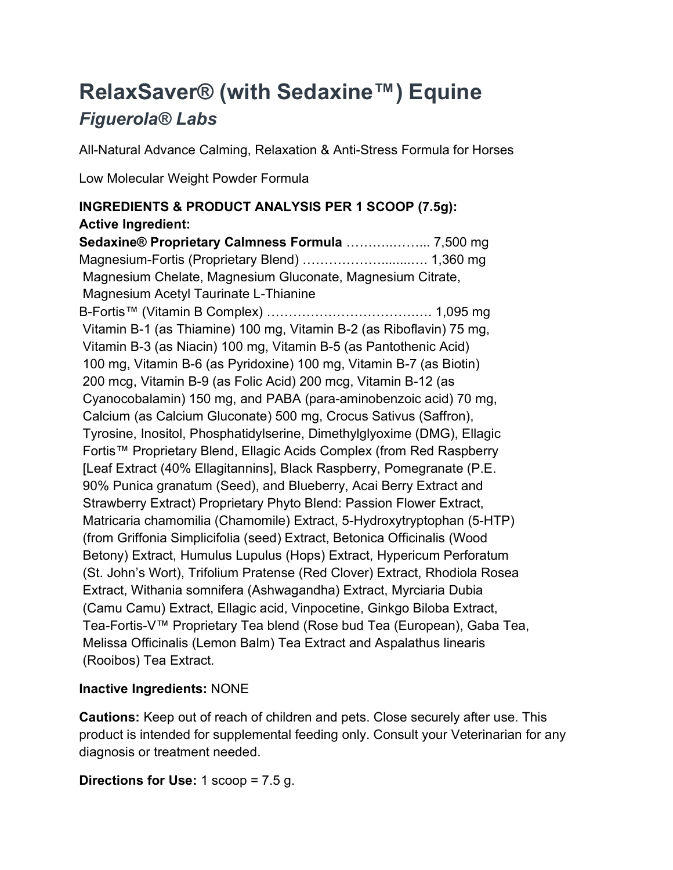# RelaxSaver® (with Sedaxine™) Equine Figuerola® Labs

All-Natural Advance Calming, Relaxation & Anti-Stress Formula for Horses

Low Molecular Weight Powder Formula

## INGREDIENTS & PRODUCT ANALYSIS PER 1 SCOOP (7.5g): Active Ingredient:

Sedaxine® Proprietary Calmness Formula ………..……... 7,500 mg Magnesium-Fortis (Proprietary Blend) ………………........…. 1,360 mg Magnesium Chelate, Magnesium Gluconate, Magnesium Citrate, Magnesium Acetyl Taurinate L-Thianine B-Fortis™ (Vitamin B Complex) …………………………….…. 1,095 mg Vitamin B-1 (as Thiamine) 100 mg, Vitamin B-2 (as Riboflavin) 75 mg, Vitamin B-3 (as Niacin) 100 mg, Vitamin B-5 (as Pantothenic Acid) 100 mg, Vitamin B-6 (as Pyridoxine) 100 mg, Vitamin B-7 (as Biotin) 200 mcg, Vitamin B-9 (as Folic Acid) 200 mcg, Vitamin B-12 (as Cyanocobalamin) 150 mg, and PABA (para-aminobenzoic acid) 70 mg, Calcium (as Calcium Gluconate) 500 mg, Crocus Sativus (Saffron), Tyrosine, Inositol, Phosphatidylserine, Dimethylglyoxime (DMG), Ellagic Fortis™ Proprietary Blend, Ellagic Acids Complex (from Red Raspberry [Leaf Extract (40% Ellagitannins], Black Raspberry, Pomegranate (P.E. 90% Punica granatum (Seed), and Blueberry, Acai Berry Extract and Strawberry Extract) Proprietary Phyto Blend: Passion Flower Extract, Matricaria chamomilia (Chamomile) Extract, 5-Hydroxytryptophan (5-HTP) (from Griffonia Simplicifolia (seed) Extract, Betonica Officinalis (Wood Betony) Extract, Humulus Lupulus (Hops) Extract, Hypericum Perforatum (St. John's Wort), Trifolium Pratense (Red Clover) Extract, Rhodiola Rosea Extract, Withania somnifera (Ashwagandha) Extract, Myrciaria Dubia (Camu Camu) Extract, Ellagic acid, Vinpocetine, Ginkgo Biloba Extract, Tea-Fortis-V™ Proprietary Tea blend (Rose bud Tea (European), Gaba Tea, Melissa Officinalis (Lemon Balm) Tea Extract and Aspalathus linearis (Rooibos) Tea Extract.

# Inactive Ingredients: NONE

Cautions: Keep out of reach of children and pets. Close securely after use. This product is intended for supplemental feeding only. Consult your Veterinarian for any diagnosis or treatment needed.

Directions for Use:  $1$  scoop =  $7.5$  g.